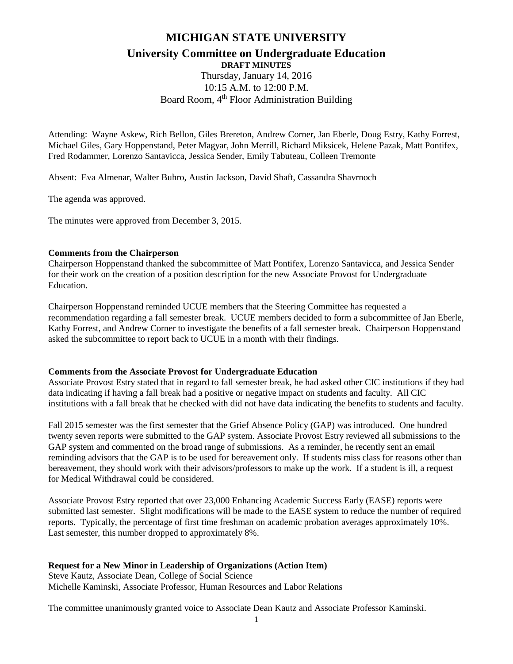# **MICHIGAN STATE UNIVERSITY**

# **University Committee on Undergraduate Education**

**DRAFT MINUTES**

Thursday, January 14, 2016 10:15 A.M. to 12:00 P.M. Board Room, 4<sup>th</sup> Floor Administration Building

Attending: Wayne Askew, Rich Bellon, Giles Brereton, Andrew Corner, Jan Eberle, Doug Estry, Kathy Forrest, Michael Giles, Gary Hoppenstand, Peter Magyar, John Merrill, Richard Miksicek, Helene Pazak, Matt Pontifex, Fred Rodammer, Lorenzo Santavicca, Jessica Sender, Emily Tabuteau, Colleen Tremonte

Absent: Eva Almenar, Walter Buhro, Austin Jackson, David Shaft, Cassandra Shavrnoch

The agenda was approved.

The minutes were approved from December 3, 2015.

## **Comments from the Chairperson**

Chairperson Hoppenstand thanked the subcommittee of Matt Pontifex, Lorenzo Santavicca, and Jessica Sender for their work on the creation of a position description for the new Associate Provost for Undergraduate Education.

Chairperson Hoppenstand reminded UCUE members that the Steering Committee has requested a recommendation regarding a fall semester break. UCUE members decided to form a subcommittee of Jan Eberle, Kathy Forrest, and Andrew Corner to investigate the benefits of a fall semester break. Chairperson Hoppenstand asked the subcommittee to report back to UCUE in a month with their findings.

## **Comments from the Associate Provost for Undergraduate Education**

Associate Provost Estry stated that in regard to fall semester break, he had asked other CIC institutions if they had data indicating if having a fall break had a positive or negative impact on students and faculty. All CIC institutions with a fall break that he checked with did not have data indicating the benefits to students and faculty.

Fall 2015 semester was the first semester that the Grief Absence Policy (GAP) was introduced. One hundred twenty seven reports were submitted to the GAP system. Associate Provost Estry reviewed all submissions to the GAP system and commented on the broad range of submissions. As a reminder, he recently sent an email reminding advisors that the GAP is to be used for bereavement only. If students miss class for reasons other than bereavement, they should work with their advisors/professors to make up the work. If a student is ill, a request for Medical Withdrawal could be considered.

Associate Provost Estry reported that over 23,000 Enhancing Academic Success Early (EASE) reports were submitted last semester. Slight modifications will be made to the EASE system to reduce the number of required reports. Typically, the percentage of first time freshman on academic probation averages approximately 10%. Last semester, this number dropped to approximately 8%.

## **Request for a New Minor in Leadership of Organizations (Action Item)**

Steve Kautz, Associate Dean, College of Social Science Michelle Kaminski, Associate Professor, Human Resources and Labor Relations

The committee unanimously granted voice to Associate Dean Kautz and Associate Professor Kaminski.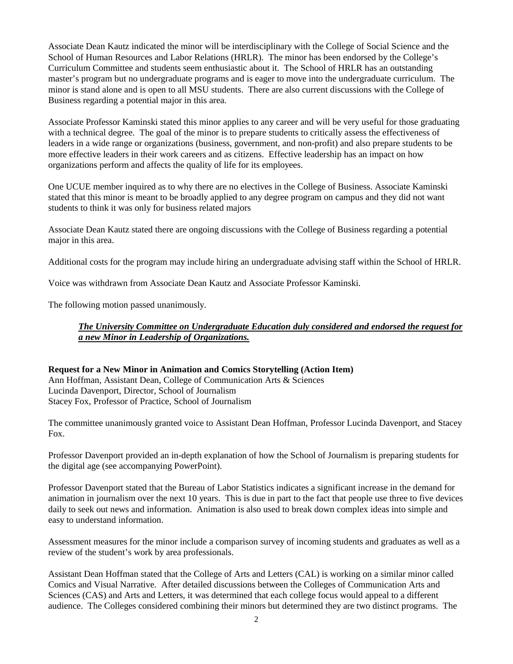Associate Dean Kautz indicated the minor will be interdisciplinary with the College of Social Science and the School of Human Resources and Labor Relations (HRLR). The minor has been endorsed by the College's Curriculum Committee and students seem enthusiastic about it. The School of HRLR has an outstanding master's program but no undergraduate programs and is eager to move into the undergraduate curriculum. The minor is stand alone and is open to all MSU students. There are also current discussions with the College of Business regarding a potential major in this area.

Associate Professor Kaminski stated this minor applies to any career and will be very useful for those graduating with a technical degree. The goal of the minor is to prepare students to critically assess the effectiveness of leaders in a wide range or organizations (business, government, and non-profit) and also prepare students to be more effective leaders in their work careers and as citizens. Effective leadership has an impact on how organizations perform and affects the quality of life for its employees.

One UCUE member inquired as to why there are no electives in the College of Business. Associate Kaminski stated that this minor is meant to be broadly applied to any degree program on campus and they did not want students to think it was only for business related majors

Associate Dean Kautz stated there are ongoing discussions with the College of Business regarding a potential major in this area.

Additional costs for the program may include hiring an undergraduate advising staff within the School of HRLR.

Voice was withdrawn from Associate Dean Kautz and Associate Professor Kaminski.

The following motion passed unanimously.

## *The University Committee on Undergraduate Education duly considered and endorsed the request for a new Minor in Leadership of Organizations.*

#### **Request for a New Minor in Animation and Comics Storytelling (Action Item)** Ann Hoffman, Assistant Dean, College of Communication Arts & Sciences Lucinda Davenport, Director, School of Journalism Stacey Fox, Professor of Practice, School of Journalism

The committee unanimously granted voice to Assistant Dean Hoffman, Professor Lucinda Davenport, and Stacey Fox.

Professor Davenport provided an in-depth explanation of how the School of Journalism is preparing students for the digital age (see accompanying PowerPoint).

Professor Davenport stated that the Bureau of Labor Statistics indicates a significant increase in the demand for animation in journalism over the next 10 years. This is due in part to the fact that people use three to five devices daily to seek out news and information. Animation is also used to break down complex ideas into simple and easy to understand information.

Assessment measures for the minor include a comparison survey of incoming students and graduates as well as a review of the student's work by area professionals.

Assistant Dean Hoffman stated that the College of Arts and Letters (CAL) is working on a similar minor called Comics and Visual Narrative. After detailed discussions between the Colleges of Communication Arts and Sciences (CAS) and Arts and Letters, it was determined that each college focus would appeal to a different audience. The Colleges considered combining their minors but determined they are two distinct programs. The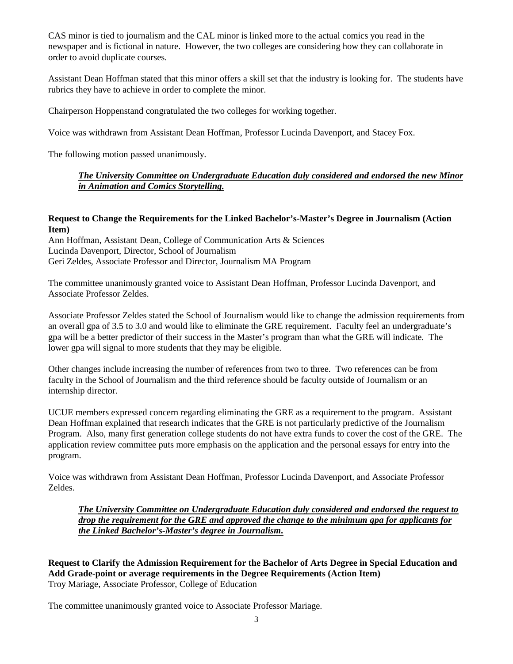CAS minor is tied to journalism and the CAL minor is linked more to the actual comics you read in the newspaper and is fictional in nature. However, the two colleges are considering how they can collaborate in order to avoid duplicate courses.

Assistant Dean Hoffman stated that this minor offers a skill set that the industry is looking for. The students have rubrics they have to achieve in order to complete the minor.

Chairperson Hoppenstand congratulated the two colleges for working together.

Voice was withdrawn from Assistant Dean Hoffman, Professor Lucinda Davenport, and Stacey Fox.

The following motion passed unanimously.

# *The University Committee on Undergraduate Education duly considered and endorsed the new Minor in Animation and Comics Storytelling.*

## **Request to Change the Requirements for the Linked Bachelor's-Master's Degree in Journalism (Action Item)**

Ann Hoffman, Assistant Dean, College of Communication Arts & Sciences Lucinda Davenport, Director, School of Journalism Geri Zeldes, Associate Professor and Director, Journalism MA Program

The committee unanimously granted voice to Assistant Dean Hoffman, Professor Lucinda Davenport, and Associate Professor Zeldes.

Associate Professor Zeldes stated the School of Journalism would like to change the admission requirements from an overall gpa of 3.5 to 3.0 and would like to eliminate the GRE requirement. Faculty feel an undergraduate's gpa will be a better predictor of their success in the Master's program than what the GRE will indicate. The lower gpa will signal to more students that they may be eligible.

Other changes include increasing the number of references from two to three. Two references can be from faculty in the School of Journalism and the third reference should be faculty outside of Journalism or an internship director.

UCUE members expressed concern regarding eliminating the GRE as a requirement to the program. Assistant Dean Hoffman explained that research indicates that the GRE is not particularly predictive of the Journalism Program. Also, many first generation college students do not have extra funds to cover the cost of the GRE. The application review committee puts more emphasis on the application and the personal essays for entry into the program.

Voice was withdrawn from Assistant Dean Hoffman, Professor Lucinda Davenport, and Associate Professor Zeldes.

*The University Committee on Undergraduate Education duly considered and endorsed the request to drop the requirement for the GRE and approved the change to the minimum gpa for applicants for the Linked Bachelor's-Master's degree in Journalism.*

**Request to Clarify the Admission Requirement for the Bachelor of Arts Degree in Special Education and Add Grade-point or average requirements in the Degree Requirements (Action Item)** Troy Mariage, Associate Professor, College of Education

The committee unanimously granted voice to Associate Professor Mariage.